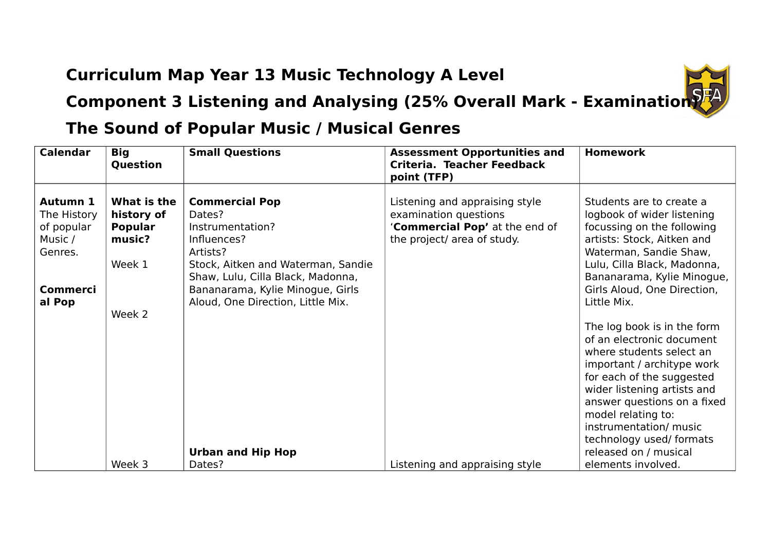## **Curriculum Map Year 13 Music Technology A Level**



## **The Sound of Popular Music / Musical Genres**

| <b>Calendar</b>                                                    | <b>Big</b><br>Question                                          | <b>Small Questions</b>                                                                                               | <b>Assessment Opportunities and</b><br>Criteria. Teacher Feedback<br>point (TFP)                                         | <b>Homework</b>                                                                                                                                                                                                                                                                           |
|--------------------------------------------------------------------|-----------------------------------------------------------------|----------------------------------------------------------------------------------------------------------------------|--------------------------------------------------------------------------------------------------------------------------|-------------------------------------------------------------------------------------------------------------------------------------------------------------------------------------------------------------------------------------------------------------------------------------------|
| <b>Autumn 1</b><br>The History<br>of popular<br>Music /<br>Genres. | What is the<br>history of<br><b>Popular</b><br>music?<br>Week 1 | <b>Commercial Pop</b><br>Dates?<br>Instrumentation?<br>Influences?<br>Artists?<br>Stock, Aitken and Waterman, Sandie | Listening and appraising style<br>examination questions<br>'Commercial Pop' at the end of<br>the project/ area of study. | Students are to create a<br>logbook of wider listening<br>focussing on the following<br>artists: Stock, Aitken and<br>Waterman, Sandie Shaw,<br>Lulu, Cilla Black, Madonna,                                                                                                               |
| <b>Commerci</b><br>al Pop                                          | Week 2                                                          | Shaw, Lulu, Cilla Black, Madonna,<br>Bananarama, Kylie Minogue, Girls<br>Aloud, One Direction, Little Mix.           |                                                                                                                          | Bananarama, Kylie Minogue,<br>Girls Aloud, One Direction,<br>Little Mix.                                                                                                                                                                                                                  |
|                                                                    |                                                                 |                                                                                                                      |                                                                                                                          | The log book is in the form<br>of an electronic document<br>where students select an<br>important / architype work<br>for each of the suggested<br>wider listening artists and<br>answer questions on a fixed<br>model relating to:<br>instrumentation/ music<br>technology used/ formats |
|                                                                    | Week 3                                                          | <b>Urban and Hip Hop</b><br>Dates?                                                                                   | Listening and appraising style                                                                                           | released on / musical<br>elements involved.                                                                                                                                                                                                                                               |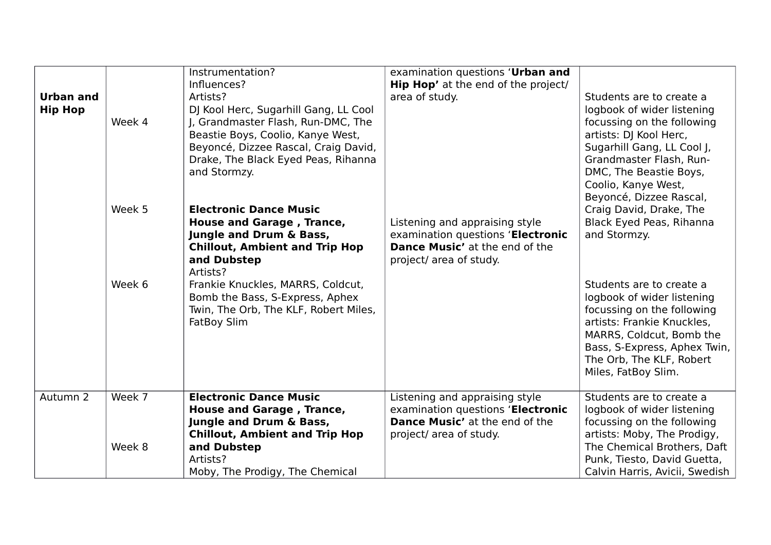| <b>Urban and</b><br><b>Hip Hop</b> | Week 4           | Instrumentation?<br>Influences?<br>Artists?<br>DJ Kool Herc, Sugarhill Gang, LL Cool<br>J, Grandmaster Flash, Run-DMC, The<br>Beastie Boys, Coolio, Kanye West,<br>Beyoncé, Dizzee Rascal, Craig David,<br>Drake, The Black Eyed Peas, Rihanna<br>and Stormzy.                            | examination questions 'Urban and<br><b>Hip Hop'</b> at the end of the project/<br>area of study.                                        | Students are to create a<br>logbook of wider listening<br>focussing on the following<br>artists: DJ Kool Herc,<br>Sugarhill Gang, LL Cool J,<br>Grandmaster Flash, Run-<br>DMC, The Beastie Boys,<br>Coolio, Kanye West,<br>Beyoncé, Dizzee Rascal,                                                      |
|------------------------------------|------------------|-------------------------------------------------------------------------------------------------------------------------------------------------------------------------------------------------------------------------------------------------------------------------------------------|-----------------------------------------------------------------------------------------------------------------------------------------|----------------------------------------------------------------------------------------------------------------------------------------------------------------------------------------------------------------------------------------------------------------------------------------------------------|
|                                    | Week 5<br>Week 6 | <b>Electronic Dance Music</b><br>House and Garage, Trance,<br>Jungle and Drum & Bass,<br><b>Chillout, Ambient and Trip Hop</b><br>and Dubstep<br>Artists?<br>Frankie Knuckles, MARRS, Coldcut,<br>Bomb the Bass, S-Express, Aphex<br>Twin, The Orb, The KLF, Robert Miles,<br>FatBoy Slim | Listening and appraising style<br>examination questions 'Electronic<br><b>Dance Music'</b> at the end of the<br>project/ area of study. | Craig David, Drake, The<br>Black Eyed Peas, Rihanna<br>and Stormzy.<br>Students are to create a<br>logbook of wider listening<br>focussing on the following<br>artists: Frankie Knuckles,<br>MARRS, Coldcut, Bomb the<br>Bass, S-Express, Aphex Twin,<br>The Orb, The KLF, Robert<br>Miles, FatBoy Slim. |
| Autumn <sub>2</sub>                | Week 7<br>Week 8 | <b>Electronic Dance Music</b><br>House and Garage, Trance,<br>Jungle and Drum & Bass,<br><b>Chillout, Ambient and Trip Hop</b><br>and Dubstep<br>Artists?<br>Moby, The Prodigy, The Chemical                                                                                              | Listening and appraising style<br>examination questions 'Electronic<br>Dance Music' at the end of the<br>project/ area of study.        | Students are to create a<br>logbook of wider listening<br>focussing on the following<br>artists: Moby, The Prodigy,<br>The Chemical Brothers, Daft<br>Punk, Tiesto, David Guetta,<br>Calvin Harris, Avicii, Swedish                                                                                      |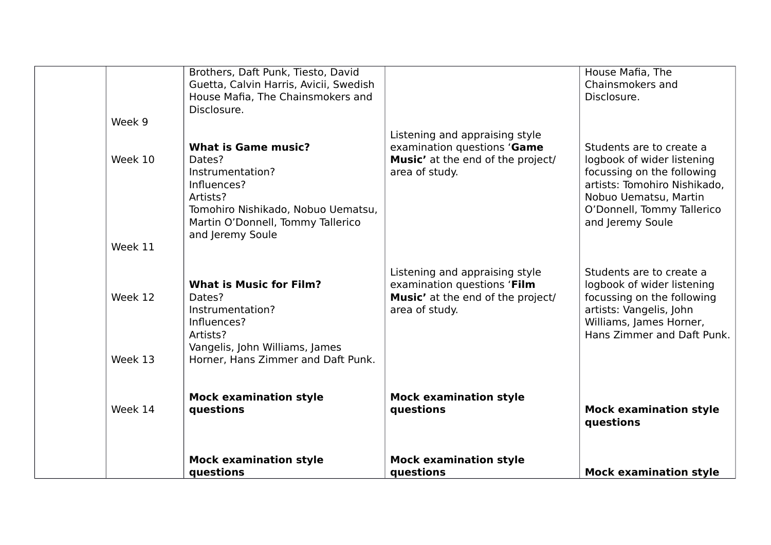|         | questions                                                                                                              | questions                                                                                                            | <b>Mock examination style</b>                                                                                   |
|---------|------------------------------------------------------------------------------------------------------------------------|----------------------------------------------------------------------------------------------------------------------|-----------------------------------------------------------------------------------------------------------------|
|         | <b>Mock examination style</b>                                                                                          | <b>Mock examination style</b>                                                                                        |                                                                                                                 |
| Week 14 | <b>Mock examination style</b><br>questions                                                                             | <b>Mock examination style</b><br>questions                                                                           | <b>Mock examination style</b><br>questions                                                                      |
| Week 13 | Influences?<br>Artists?<br>Vangelis, John Williams, James<br>Horner, Hans Zimmer and Daft Punk.                        |                                                                                                                      | Williams, James Horner,<br>Hans Zimmer and Daft Punk.                                                           |
| Week 12 | <b>What is Music for Film?</b><br>Dates?<br>Instrumentation?                                                           | Listening and appraising style<br>examination questions 'Film<br>Music' at the end of the project/<br>area of study. | Students are to create a<br>logbook of wider listening<br>focussing on the following<br>artists: Vangelis, John |
| Week 11 |                                                                                                                        |                                                                                                                      |                                                                                                                 |
|         | Influences?<br>Artists?<br>Tomohiro Nishikado, Nobuo Uematsu,<br>Martin O'Donnell, Tommy Tallerico<br>and Jeremy Soule |                                                                                                                      | artists: Tomohiro Nishikado,<br>Nobuo Uematsu, Martin<br>O'Donnell, Tommy Tallerico<br>and Jeremy Soule         |
| Week 10 | Dates?<br>Instrumentation?                                                                                             | Music' at the end of the project/<br>area of study.                                                                  | logbook of wider listening<br>focussing on the following                                                        |
|         | <b>What is Game music?</b>                                                                                             | Listening and appraising style<br>examination questions 'Game                                                        | Students are to create a                                                                                        |
| Week 9  |                                                                                                                        |                                                                                                                      |                                                                                                                 |
|         | House Mafia, The Chainsmokers and<br>Disclosure.                                                                       |                                                                                                                      | Disclosure.                                                                                                     |
|         | Guetta, Calvin Harris, Avicii, Swedish                                                                                 |                                                                                                                      | Chainsmokers and                                                                                                |
|         | Brothers, Daft Punk, Tiesto, David                                                                                     |                                                                                                                      | House Mafia, The                                                                                                |